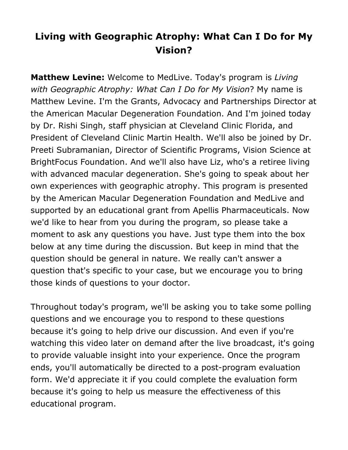## **Living with Geographic Atrophy: What Can I Do for My Vision?**

**Matthew Levine:** Welcome to MedLive. Today's program is *Living with Geographic Atrophy: What Can I Do for My Vision*? My name is Matthew Levine. I'm the Grants, Advocacy and Partnerships Director at the American Macular Degeneration Foundation. And I'm joined today by Dr. Rishi Singh, staff physician at Cleveland Clinic Florida, and President of Cleveland Clinic Martin Health. We'll also be joined by Dr. Preeti Subramanian, Director of Scientific Programs, Vision Science at BrightFocus Foundation. And we'll also have Liz, who's a retiree living with advanced macular degeneration. She's going to speak about her own experiences with geographic atrophy. This program is presented by the American Macular Degeneration Foundation and MedLive and supported by an educational grant from Apellis Pharmaceuticals. Now we'd like to hear from you during the program, so please take a moment to ask any questions you have. Just type them into the box below at any time during the discussion. But keep in mind that the question should be general in nature. We really can't answer a question that's specific to your case, but we encourage you to bring those kinds of questions to your doctor.

Throughout today's program, we'll be asking you to take some polling questions and we encourage you to respond to these questions because it's going to help drive our discussion. And even if you're watching this video later on demand after the live broadcast, it's going to provide valuable insight into your experience. Once the program ends, you'll automatically be directed to a post-program evaluation form. We'd appreciate it if you could complete the evaluation form because it's going to help us measure the effectiveness of this educational program.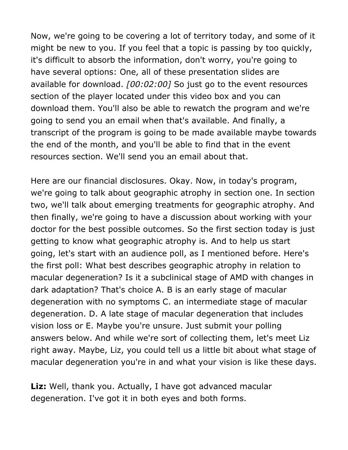Now, we're going to be covering a lot of territory today, and some of it might be new to you. If you feel that a topic is passing by too quickly, it's difficult to absorb the information, don't worry, you're going to have several options: One, all of these presentation slides are available for download. *[00:02:00]* So just go to the event resources section of the player located under this video box and you can download them. You'll also be able to rewatch the program and we're going to send you an email when that's available. And finally, a transcript of the program is going to be made available maybe towards the end of the month, and you'll be able to find that in the event resources section. We'll send you an email about that.

Here are our financial disclosures. Okay. Now, in today's program, we're going to talk about geographic atrophy in section one. In section two, we'll talk about emerging treatments for geographic atrophy. And then finally, we're going to have a discussion about working with your doctor for the best possible outcomes. So the first section today is just getting to know what geographic atrophy is. And to help us start going, let's start with an audience poll, as I mentioned before. Here's the first poll: What best describes geographic atrophy in relation to macular degeneration? Is it a subclinical stage of AMD with changes in dark adaptation? That's choice A. B is an early stage of macular degeneration with no symptoms C. an intermediate stage of macular degeneration. D. A late stage of macular degeneration that includes vision loss or E. Maybe you're unsure. Just submit your polling answers below. And while we're sort of collecting them, let's meet Liz right away. Maybe, Liz, you could tell us a little bit about what stage of macular degeneration you're in and what your vision is like these days.

**Liz:** Well, thank you. Actually, I have got advanced macular degeneration. I've got it in both eyes and both forms.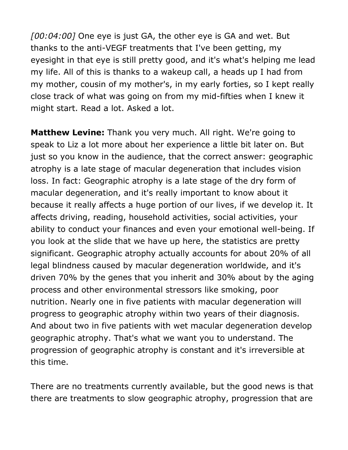*[00:04:00]* One eye is just GA, the other eye is GA and wet. But thanks to the anti-VEGF treatments that I've been getting, my eyesight in that eye is still pretty good, and it's what's helping me lead my life. All of this is thanks to a wakeup call, a heads up I had from my mother, cousin of my mother's, in my early forties, so I kept really close track of what was going on from my mid-fifties when I knew it might start. Read a lot. Asked a lot.

**Matthew Levine:** Thank you very much. All right. We're going to speak to Liz a lot more about her experience a little bit later on. But just so you know in the audience, that the correct answer: geographic atrophy is a late stage of macular degeneration that includes vision loss. In fact: Geographic atrophy is a late stage of the dry form of macular degeneration, and it's really important to know about it because it really affects a huge portion of our lives, if we develop it. It affects driving, reading, household activities, social activities, your ability to conduct your finances and even your emotional well-being. If you look at the slide that we have up here, the statistics are pretty significant. Geographic atrophy actually accounts for about 20% of all legal blindness caused by macular degeneration worldwide, and it's driven 70% by the genes that you inherit and 30% about by the aging process and other environmental stressors like smoking, poor nutrition. Nearly one in five patients with macular degeneration will progress to geographic atrophy within two years of their diagnosis. And about two in five patients with wet macular degeneration develop geographic atrophy. That's what we want you to understand. The progression of geographic atrophy is constant and it's irreversible at this time.

There are no treatments currently available, but the good news is that there are treatments to slow geographic atrophy, progression that are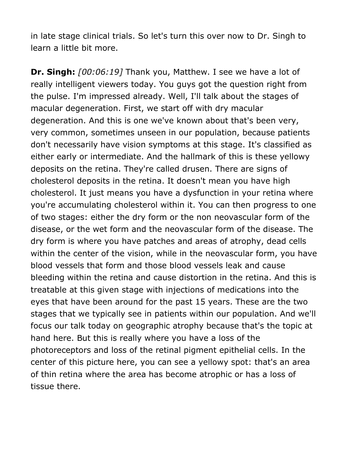in late stage clinical trials. So let's turn this over now to Dr. Singh to learn a little bit more.

**Dr. Singh:** *[00:06:19]* Thank you, Matthew. I see we have a lot of really intelligent viewers today. You guys got the question right from the pulse. I'm impressed already. Well, I'll talk about the stages of macular degeneration. First, we start off with dry macular degeneration. And this is one we've known about that's been very, very common, sometimes unseen in our population, because patients don't necessarily have vision symptoms at this stage. It's classified as either early or intermediate. And the hallmark of this is these yellowy deposits on the retina. They're called drusen. There are signs of cholesterol deposits in the retina. It doesn't mean you have high cholesterol. It just means you have a dysfunction in your retina where you're accumulating cholesterol within it. You can then progress to one of two stages: either the dry form or the non neovascular form of the disease, or the wet form and the neovascular form of the disease. The dry form is where you have patches and areas of atrophy, dead cells within the center of the vision, while in the neovascular form, you have blood vessels that form and those blood vessels leak and cause bleeding within the retina and cause distortion in the retina. And this is treatable at this given stage with injections of medications into the eyes that have been around for the past 15 years. These are the two stages that we typically see in patients within our population. And we'll focus our talk today on geographic atrophy because that's the topic at hand here. But this is really where you have a loss of the photoreceptors and loss of the retinal pigment epithelial cells. In the center of this picture here, you can see a yellowy spot: that's an area of thin retina where the area has become atrophic or has a loss of tissue there.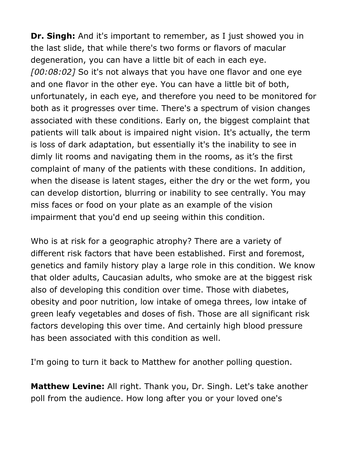**Dr. Singh:** And it's important to remember, as I just showed you in the last slide, that while there's two forms or flavors of macular degeneration, you can have a little bit of each in each eye. *[00:08:02]* So it's not always that you have one flavor and one eye and one flavor in the other eye. You can have a little bit of both, unfortunately, in each eye, and therefore you need to be monitored for both as it progresses over time. There's a spectrum of vision changes associated with these conditions. Early on, the biggest complaint that patients will talk about is impaired night vision. It's actually, the term is loss of dark adaptation, but essentially it's the inability to see in dimly lit rooms and navigating them in the rooms, as it's the first complaint of many of the patients with these conditions. In addition, when the disease is latent stages, either the dry or the wet form, you can develop distortion, blurring or inability to see centrally. You may miss faces or food on your plate as an example of the vision impairment that you'd end up seeing within this condition.

Who is at risk for a geographic atrophy? There are a variety of different risk factors that have been established. First and foremost, genetics and family history play a large role in this condition. We know that older adults, Caucasian adults, who smoke are at the biggest risk also of developing this condition over time. Those with diabetes, obesity and poor nutrition, low intake of omega threes, low intake of green leafy vegetables and doses of fish. Those are all significant risk factors developing this over time. And certainly high blood pressure has been associated with this condition as well.

I'm going to turn it back to Matthew for another polling question.

**Matthew Levine:** All right. Thank you, Dr. Singh. Let's take another poll from the audience. How long after you or your loved one's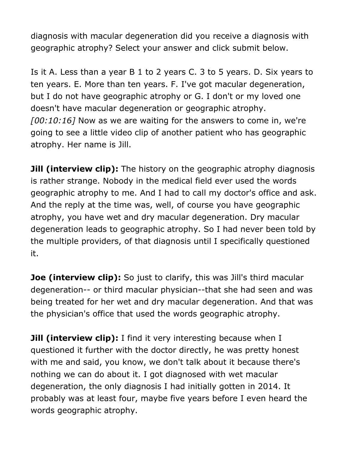diagnosis with macular degeneration did you receive a diagnosis with geographic atrophy? Select your answer and click submit below.

Is it A. Less than a year B 1 to 2 years C. 3 to 5 years. D. Six years to ten years. E. More than ten years. F. I've got macular degeneration, but I do not have geographic atrophy or G. I don't or my loved one doesn't have macular degeneration or geographic atrophy. *[00:10:16]* Now as we are waiting for the answers to come in, we're going to see a little video clip of another patient who has geographic atrophy. Her name is Jill.

**Jill (interview clip):** The history on the geographic atrophy diagnosis is rather strange. Nobody in the medical field ever used the words geographic atrophy to me. And I had to call my doctor's office and ask. And the reply at the time was, well, of course you have geographic atrophy, you have wet and dry macular degeneration. Dry macular degeneration leads to geographic atrophy. So I had never been told by the multiple providers, of that diagnosis until I specifically questioned it.

**Joe (interview clip):** So just to clarify, this was Jill's third macular degeneration-- or third macular physician--that she had seen and was being treated for her wet and dry macular degeneration. And that was the physician's office that used the words geographic atrophy.

**Jill (interview clip):** I find it very interesting because when I questioned it further with the doctor directly, he was pretty honest with me and said, you know, we don't talk about it because there's nothing we can do about it. I got diagnosed with wet macular degeneration, the only diagnosis I had initially gotten in 2014. It probably was at least four, maybe five years before I even heard the words geographic atrophy.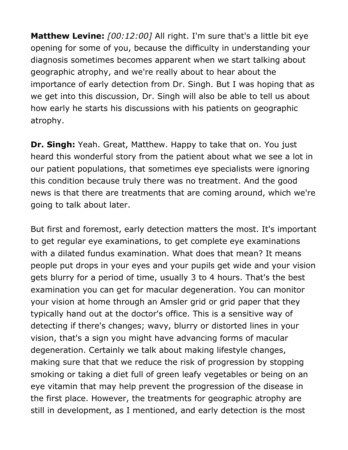**Matthew Levine:** *[00:12:00]* All right. I'm sure that's a little bit eye opening for some of you, because the difficulty in understanding your diagnosis sometimes becomes apparent when we start talking about geographic atrophy, and we're really about to hear about the importance of early detection from Dr. Singh. But I was hoping that as we get into this discussion, Dr. Singh will also be able to tell us about how early he starts his discussions with his patients on geographic atrophy.

**Dr. Singh:** Yeah. Great, Matthew. Happy to take that on. You just heard this wonderful story from the patient about what we see a lot in our patient populations, that sometimes eye specialists were ignoring this condition because truly there was no treatment. And the good news is that there are treatments that are coming around, which we're going to talk about later.

But first and foremost, early detection matters the most. It's important to get regular eye examinations, to get complete eye examinations with a dilated fundus examination. What does that mean? It means people put drops in your eyes and your pupils get wide and your vision gets blurry for a period of time, usually 3 to 4 hours. That's the best examination you can get for macular degeneration. You can monitor your vision at home through an Amsler grid or grid paper that they typically hand out at the doctor's office. This is a sensitive way of detecting if there's changes; wavy, blurry or distorted lines in your vision, that's a sign you might have advancing forms of macular degeneration. Certainly we talk about making lifestyle changes, making sure that that we reduce the risk of progression by stopping smoking or taking a diet full of green leafy vegetables or being on an eye vitamin that may help prevent the progression of the disease in the first place. However, the treatments for geographic atrophy are still in development, as I mentioned, and early detection is the most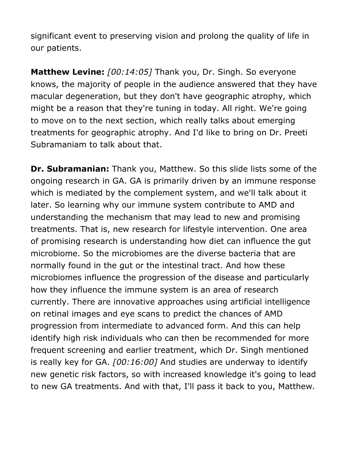significant event to preserving vision and prolong the quality of life in our patients.

**Matthew Levine:** *[00:14:05]* Thank you, Dr. Singh. So everyone knows, the majority of people in the audience answered that they have macular degeneration, but they don't have geographic atrophy, which might be a reason that they're tuning in today. All right. We're going to move on to the next section, which really talks about emerging treatments for geographic atrophy. And I'd like to bring on Dr. Preeti Subramaniam to talk about that.

**Dr. Subramanian:** Thank you, Matthew. So this slide lists some of the ongoing research in GA. GA is primarily driven by an immune response which is mediated by the complement system, and we'll talk about it later. So learning why our immune system contribute to AMD and understanding the mechanism that may lead to new and promising treatments. That is, new research for lifestyle intervention. One area of promising research is understanding how diet can influence the gut microbiome. So the microbiomes are the diverse bacteria that are normally found in the gut or the intestinal tract. And how these microbiomes influence the progression of the disease and particularly how they influence the immune system is an area of research currently. There are innovative approaches using artificial intelligence on retinal images and eye scans to predict the chances of AMD progression from intermediate to advanced form. And this can help identify high risk individuals who can then be recommended for more frequent screening and earlier treatment, which Dr. Singh mentioned is really key for GA. *[00:16:00]* And studies are underway to identify new genetic risk factors, so with increased knowledge it's going to lead to new GA treatments. And with that, I'll pass it back to you, Matthew.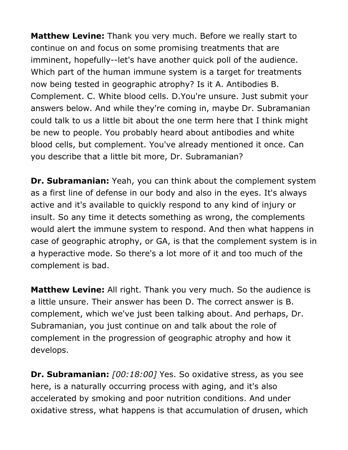**Matthew Levine:** Thank you very much. Before we really start to continue on and focus on some promising treatments that are imminent, hopefully--let's have another quick poll of the audience. Which part of the human immune system is a target for treatments now being tested in geographic atrophy? Is it A. Antibodies B. Complement. C. White blood cells. D.You're unsure. Just submit your answers below. And while they're coming in, maybe Dr. Subramanian could talk to us a little bit about the one term here that I think might be new to people. You probably heard about antibodies and white blood cells, but complement. You've already mentioned it once. Can you describe that a little bit more, Dr. Subramanian?

**Dr. Subramanian:** Yeah, you can think about the complement system as a first line of defense in our body and also in the eyes. It's always active and it's available to quickly respond to any kind of injury or insult. So any time it detects something as wrong, the complements would alert the immune system to respond. And then what happens in case of geographic atrophy, or GA, is that the complement system is in a hyperactive mode. So there's a lot more of it and too much of the complement is bad.

**Matthew Levine:** All right. Thank you very much. So the audience is a little unsure. Their answer has been D. The correct answer is B. complement, which we've just been talking about. And perhaps, Dr. Subramanian, you just continue on and talk about the role of complement in the progression of geographic atrophy and how it develops.

**Dr. Subramanian:** *[00:18:00]* Yes. So oxidative stress, as you see here, is a naturally occurring process with aging, and it's also accelerated by smoking and poor nutrition conditions. And under oxidative stress, what happens is that accumulation of drusen, which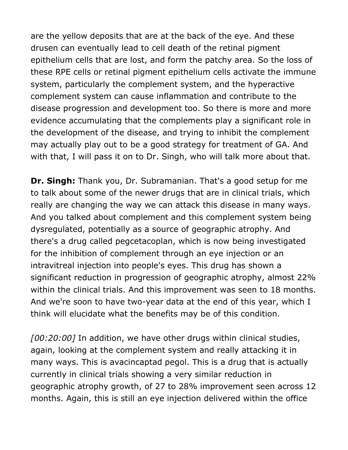are the yellow deposits that are at the back of the eye. And these drusen can eventually lead to cell death of the retinal pigment epithelium cells that are lost, and form the patchy area. So the loss of these RPE cells or retinal pigment epithelium cells activate the immune system, particularly the complement system, and the hyperactive complement system can cause inflammation and contribute to the disease progression and development too. So there is more and more evidence accumulating that the complements play a significant role in the development of the disease, and trying to inhibit the complement may actually play out to be a good strategy for treatment of GA. And with that, I will pass it on to Dr. Singh, who will talk more about that.

**Dr. Singh:** Thank you, Dr. Subramanian. That's a good setup for me to talk about some of the newer drugs that are in clinical trials, which really are changing the way we can attack this disease in many ways. And you talked about complement and this complement system being dysregulated, potentially as a source of geographic atrophy. And there's a drug called pegcetacoplan, which is now being investigated for the inhibition of complement through an eye injection or an intravitreal injection into people's eyes. This drug has shown a significant reduction in progression of geographic atrophy, almost 22% within the clinical trials. And this improvement was seen to 18 months. And we're soon to have two-year data at the end of this year, which I think will elucidate what the benefits may be of this condition.

*[00:20:00]* In addition, we have other drugs within clinical studies, again, looking at the complement system and really attacking it in many ways. This is avacincaptad pegol. This is a drug that is actually currently in clinical trials showing a very similar reduction in geographic atrophy growth, of 27 to 28% improvement seen across 12 months. Again, this is still an eye injection delivered within the office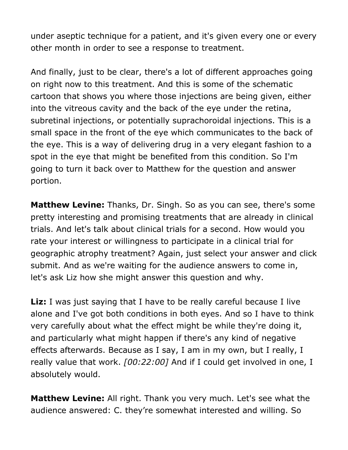under aseptic technique for a patient, and it's given every one or every other month in order to see a response to treatment.

And finally, just to be clear, there's a lot of different approaches going on right now to this treatment. And this is some of the schematic cartoon that shows you where those injections are being given, either into the vitreous cavity and the back of the eye under the retina, subretinal injections, or potentially suprachoroidal injections. This is a small space in the front of the eye which communicates to the back of the eye. This is a way of delivering drug in a very elegant fashion to a spot in the eye that might be benefited from this condition. So I'm going to turn it back over to Matthew for the question and answer portion.

**Matthew Levine:** Thanks, Dr. Singh. So as you can see, there's some pretty interesting and promising treatments that are already in clinical trials. And let's talk about clinical trials for a second. How would you rate your interest or willingness to participate in a clinical trial for geographic atrophy treatment? Again, just select your answer and click submit. And as we're waiting for the audience answers to come in, let's ask Liz how she might answer this question and why.

**Liz:** I was just saying that I have to be really careful because I live alone and I've got both conditions in both eyes. And so I have to think very carefully about what the effect might be while they're doing it, and particularly what might happen if there's any kind of negative effects afterwards. Because as I say, I am in my own, but I really, I really value that work. *[00:22:00]* And if I could get involved in one, I absolutely would.

**Matthew Levine:** All right. Thank you very much. Let's see what the audience answered: C. they're somewhat interested and willing. So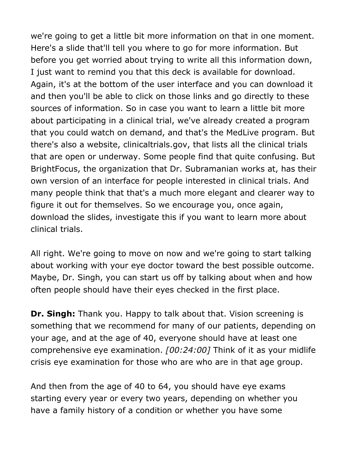we're going to get a little bit more information on that in one moment. Here's a slide that'll tell you where to go for more information. But before you get worried about trying to write all this information down, I just want to remind you that this deck is available for download. Again, it's at the bottom of the user interface and you can download it and then you'll be able to click on those links and go directly to these sources of information. So in case you want to learn a little bit more about participating in a clinical trial, we've already created a program that you could watch on demand, and that's the MedLive program. But there's also a website, clinicaltrials.gov, that lists all the clinical trials that are open or underway. Some people find that quite confusing. But BrightFocus, the organization that Dr. Subramanian works at, has their own version of an interface for people interested in clinical trials. And many people think that that's a much more elegant and clearer way to figure it out for themselves. So we encourage you, once again, download the slides, investigate this if you want to learn more about clinical trials.

All right. We're going to move on now and we're going to start talking about working with your eye doctor toward the best possible outcome. Maybe, Dr. Singh, you can start us off by talking about when and how often people should have their eyes checked in the first place.

**Dr. Singh:** Thank you. Happy to talk about that. Vision screening is something that we recommend for many of our patients, depending on your age, and at the age of 40, everyone should have at least one comprehensive eye examination. *[00:24:00]* Think of it as your midlife crisis eye examination for those who are who are in that age group.

And then from the age of 40 to 64, you should have eye exams starting every year or every two years, depending on whether you have a family history of a condition or whether you have some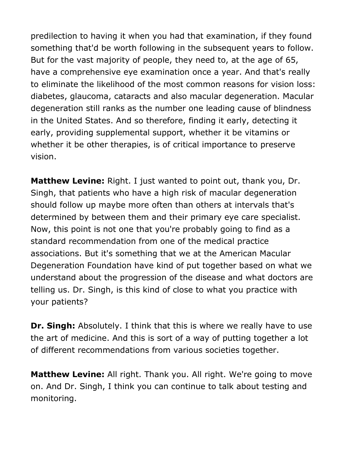predilection to having it when you had that examination, if they found something that'd be worth following in the subsequent years to follow. But for the vast majority of people, they need to, at the age of 65, have a comprehensive eye examination once a year. And that's really to eliminate the likelihood of the most common reasons for vision loss: diabetes, glaucoma, cataracts and also macular degeneration. Macular degeneration still ranks as the number one leading cause of blindness in the United States. And so therefore, finding it early, detecting it early, providing supplemental support, whether it be vitamins or whether it be other therapies, is of critical importance to preserve vision.

**Matthew Levine:** Right. I just wanted to point out, thank you, Dr. Singh, that patients who have a high risk of macular degeneration should follow up maybe more often than others at intervals that's determined by between them and their primary eye care specialist. Now, this point is not one that you're probably going to find as a standard recommendation from one of the medical practice associations. But it's something that we at the American Macular Degeneration Foundation have kind of put together based on what we understand about the progression of the disease and what doctors are telling us. Dr. Singh, is this kind of close to what you practice with your patients?

**Dr. Singh:** Absolutely. I think that this is where we really have to use the art of medicine. And this is sort of a way of putting together a lot of different recommendations from various societies together.

**Matthew Levine:** All right. Thank you. All right. We're going to move on. And Dr. Singh, I think you can continue to talk about testing and monitoring.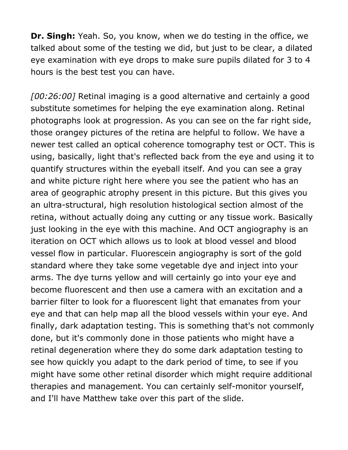**Dr. Singh:** Yeah. So, you know, when we do testing in the office, we talked about some of the testing we did, but just to be clear, a dilated eye examination with eye drops to make sure pupils dilated for 3 to 4 hours is the best test you can have.

*[00:26:00]* Retinal imaging is a good alternative and certainly a good substitute sometimes for helping the eye examination along. Retinal photographs look at progression. As you can see on the far right side, those orangey pictures of the retina are helpful to follow. We have a newer test called an optical coherence tomography test or OCT. This is using, basically, light that's reflected back from the eye and using it to quantify structures within the eyeball itself. And you can see a gray and white picture right here where you see the patient who has an area of geographic atrophy present in this picture. But this gives you an ultra-structural, high resolution histological section almost of the retina, without actually doing any cutting or any tissue work. Basically just looking in the eye with this machine. And OCT angiography is an iteration on OCT which allows us to look at blood vessel and blood vessel flow in particular. Fluorescein angiography is sort of the gold standard where they take some vegetable dye and inject into your arms. The dye turns yellow and will certainly go into your eye and become fluorescent and then use a camera with an excitation and a barrier filter to look for a fluorescent light that emanates from your eye and that can help map all the blood vessels within your eye. And finally, dark adaptation testing. This is something that's not commonly done, but it's commonly done in those patients who might have a retinal degeneration where they do some dark adaptation testing to see how quickly you adapt to the dark period of time, to see if you might have some other retinal disorder which might require additional therapies and management. You can certainly self-monitor yourself, and I'll have Matthew take over this part of the slide.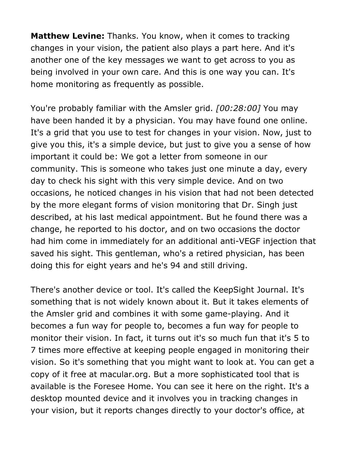**Matthew Levine:** Thanks. You know, when it comes to tracking changes in your vision, the patient also plays a part here. And it's another one of the key messages we want to get across to you as being involved in your own care. And this is one way you can. It's home monitoring as frequently as possible.

You're probably familiar with the Amsler grid. *[00:28:00]* You may have been handed it by a physician. You may have found one online. It's a grid that you use to test for changes in your vision. Now, just to give you this, it's a simple device, but just to give you a sense of how important it could be: We got a letter from someone in our community. This is someone who takes just one minute a day, every day to check his sight with this very simple device. And on two occasions, he noticed changes in his vision that had not been detected by the more elegant forms of vision monitoring that Dr. Singh just described, at his last medical appointment. But he found there was a change, he reported to his doctor, and on two occasions the doctor had him come in immediately for an additional anti-VEGF injection that saved his sight. This gentleman, who's a retired physician, has been doing this for eight years and he's 94 and still driving.

There's another device or tool. It's called the KeepSight Journal. It's something that is not widely known about it. But it takes elements of the Amsler grid and combines it with some game-playing. And it becomes a fun way for people to, becomes a fun way for people to monitor their vision. In fact, it turns out it's so much fun that it's 5 to 7 times more effective at keeping people engaged in monitoring their vision. So it's something that you might want to look at. You can get a copy of it free at macular.org. But a more sophisticated tool that is available is the Foresee Home. You can see it here on the right. It's a desktop mounted device and it involves you in tracking changes in your vision, but it reports changes directly to your doctor's office, at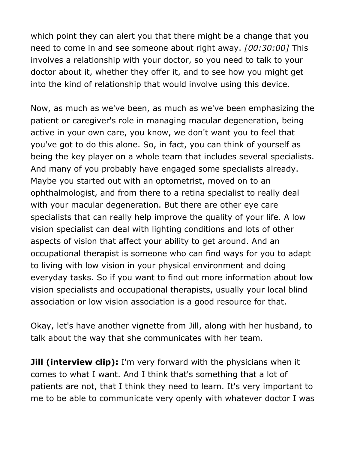which point they can alert you that there might be a change that you need to come in and see someone about right away. *[00:30:00]* This involves a relationship with your doctor, so you need to talk to your doctor about it, whether they offer it, and to see how you might get into the kind of relationship that would involve using this device.

Now, as much as we've been, as much as we've been emphasizing the patient or caregiver's role in managing macular degeneration, being active in your own care, you know, we don't want you to feel that you've got to do this alone. So, in fact, you can think of yourself as being the key player on a whole team that includes several specialists. And many of you probably have engaged some specialists already. Maybe you started out with an optometrist, moved on to an ophthalmologist, and from there to a retina specialist to really deal with your macular degeneration. But there are other eye care specialists that can really help improve the quality of your life. A low vision specialist can deal with lighting conditions and lots of other aspects of vision that affect your ability to get around. And an occupational therapist is someone who can find ways for you to adapt to living with low vision in your physical environment and doing everyday tasks. So if you want to find out more information about low vision specialists and occupational therapists, usually your local blind association or low vision association is a good resource for that.

Okay, let's have another vignette from Jill, along with her husband, to talk about the way that she communicates with her team.

**Jill (interview clip):** I'm very forward with the physicians when it comes to what I want. And I think that's something that a lot of patients are not, that I think they need to learn. It's very important to me to be able to communicate very openly with whatever doctor I was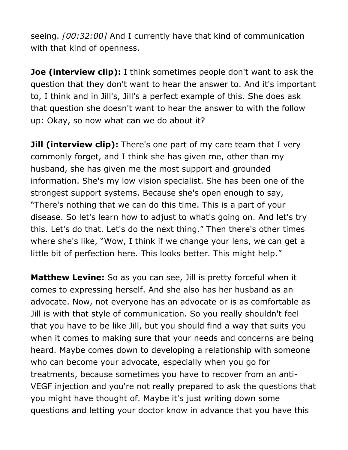seeing. *[00:32:00]* And I currently have that kind of communication with that kind of openness.

**Joe (interview clip):** I think sometimes people don't want to ask the question that they don't want to hear the answer to. And it's important to, I think and in Jill's, Jill's a perfect example of this. She does ask that question she doesn't want to hear the answer to with the follow up: Okay, so now what can we do about it?

**Jill (interview clip):** There's one part of my care team that I very commonly forget, and I think she has given me, other than my husband, she has given me the most support and grounded information. She's my low vision specialist. She has been one of the strongest support systems. Because she's open enough to say, "There's nothing that we can do this time. This is a part of your disease. So let's learn how to adjust to what's going on. And let's try this. Let's do that. Let's do the next thing." Then there's other times where she's like, "Wow, I think if we change your lens, we can get a little bit of perfection here. This looks better. This might help."

**Matthew Levine:** So as you can see, Jill is pretty forceful when it comes to expressing herself. And she also has her husband as an advocate. Now, not everyone has an advocate or is as comfortable as Jill is with that style of communication. So you really shouldn't feel that you have to be like Jill, but you should find a way that suits you when it comes to making sure that your needs and concerns are being heard. Maybe comes down to developing a relationship with someone who can become your advocate, especially when you go for treatments, because sometimes you have to recover from an anti-VEGF injection and you're not really prepared to ask the questions that you might have thought of. Maybe it's just writing down some questions and letting your doctor know in advance that you have this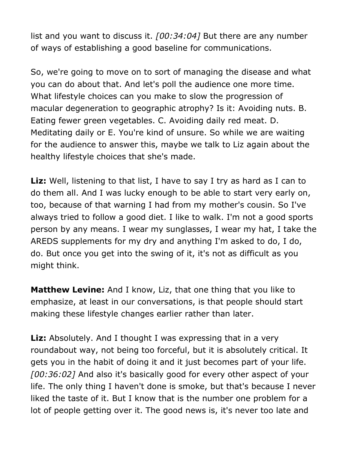list and you want to discuss it. *[00:34:04]* But there are any number of ways of establishing a good baseline for communications.

So, we're going to move on to sort of managing the disease and what you can do about that. And let's poll the audience one more time. What lifestyle choices can you make to slow the progression of macular degeneration to geographic atrophy? Is it: Avoiding nuts. B. Eating fewer green vegetables. C. Avoiding daily red meat. D. Meditating daily or E. You're kind of unsure. So while we are waiting for the audience to answer this, maybe we talk to Liz again about the healthy lifestyle choices that she's made.

Liz: Well, listening to that list, I have to say I try as hard as I can to do them all. And I was lucky enough to be able to start very early on, too, because of that warning I had from my mother's cousin. So I've always tried to follow a good diet. I like to walk. I'm not a good sports person by any means. I wear my sunglasses, I wear my hat, I take the AREDS supplements for my dry and anything I'm asked to do, I do, do. But once you get into the swing of it, it's not as difficult as you might think.

**Matthew Levine:** And I know, Liz, that one thing that you like to emphasize, at least in our conversations, is that people should start making these lifestyle changes earlier rather than later.

**Liz:** Absolutely. And I thought I was expressing that in a very roundabout way, not being too forceful, but it is absolutely critical. It gets you in the habit of doing it and it just becomes part of your life. *[00:36:02]* And also it's basically good for every other aspect of your life. The only thing I haven't done is smoke, but that's because I never liked the taste of it. But I know that is the number one problem for a lot of people getting over it. The good news is, it's never too late and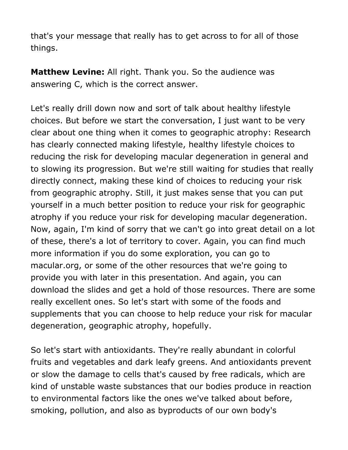that's your message that really has to get across to for all of those things.

**Matthew Levine:** All right. Thank you. So the audience was answering C, which is the correct answer.

Let's really drill down now and sort of talk about healthy lifestyle choices. But before we start the conversation, I just want to be very clear about one thing when it comes to geographic atrophy: Research has clearly connected making lifestyle, healthy lifestyle choices to reducing the risk for developing macular degeneration in general and to slowing its progression. But we're still waiting for studies that really directly connect, making these kind of choices to reducing your risk from geographic atrophy. Still, it just makes sense that you can put yourself in a much better position to reduce your risk for geographic atrophy if you reduce your risk for developing macular degeneration. Now, again, I'm kind of sorry that we can't go into great detail on a lot of these, there's a lot of territory to cover. Again, you can find much more information if you do some exploration, you can go to macular.org, or some of the other resources that we're going to provide you with later in this presentation. And again, you can download the slides and get a hold of those resources. There are some really excellent ones. So let's start with some of the foods and supplements that you can choose to help reduce your risk for macular degeneration, geographic atrophy, hopefully.

So let's start with antioxidants. They're really abundant in colorful fruits and vegetables and dark leafy greens. And antioxidants prevent or slow the damage to cells that's caused by free radicals, which are kind of unstable waste substances that our bodies produce in reaction to environmental factors like the ones we've talked about before, smoking, pollution, and also as byproducts of our own body's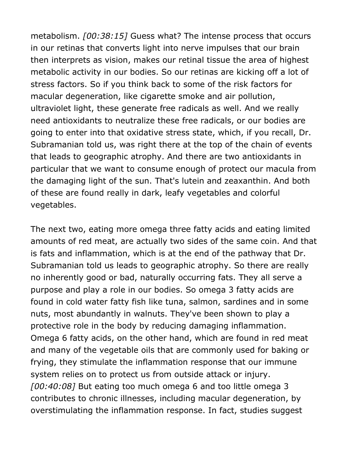metabolism. *[00:38:15]* Guess what? The intense process that occurs in our retinas that converts light into nerve impulses that our brain then interprets as vision, makes our retinal tissue the area of highest metabolic activity in our bodies. So our retinas are kicking off a lot of stress factors. So if you think back to some of the risk factors for macular degeneration, like cigarette smoke and air pollution, ultraviolet light, these generate free radicals as well. And we really need antioxidants to neutralize these free radicals, or our bodies are going to enter into that oxidative stress state, which, if you recall, Dr. Subramanian told us, was right there at the top of the chain of events that leads to geographic atrophy. And there are two antioxidants in particular that we want to consume enough of protect our macula from the damaging light of the sun. That's lutein and zeaxanthin. And both of these are found really in dark, leafy vegetables and colorful vegetables.

The next two, eating more omega three fatty acids and eating limited amounts of red meat, are actually two sides of the same coin. And that is fats and inflammation, which is at the end of the pathway that Dr. Subramanian told us leads to geographic atrophy. So there are really no inherently good or bad, naturally occurring fats. They all serve a purpose and play a role in our bodies. So omega 3 fatty acids are found in cold water fatty fish like tuna, salmon, sardines and in some nuts, most abundantly in walnuts. They've been shown to play a protective role in the body by reducing damaging inflammation. Omega 6 fatty acids, on the other hand, which are found in red meat and many of the vegetable oils that are commonly used for baking or frying, they stimulate the inflammation response that our immune system relies on to protect us from outside attack or injury. *[00:40:08]* But eating too much omega 6 and too little omega 3 contributes to chronic illnesses, including macular degeneration, by overstimulating the inflammation response. In fact, studies suggest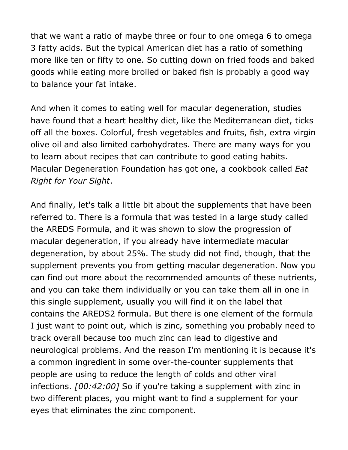that we want a ratio of maybe three or four to one omega 6 to omega 3 fatty acids. But the typical American diet has a ratio of something more like ten or fifty to one. So cutting down on fried foods and baked goods while eating more broiled or baked fish is probably a good way to balance your fat intake.

And when it comes to eating well for macular degeneration, studies have found that a heart healthy diet, like the Mediterranean diet, ticks off all the boxes. Colorful, fresh vegetables and fruits, fish, extra virgin olive oil and also limited carbohydrates. There are many ways for you to learn about recipes that can contribute to good eating habits. Macular Degeneration Foundation has got one, a cookbook called *Eat Right for Your Sight*.

And finally, let's talk a little bit about the supplements that have been referred to. There is a formula that was tested in a large study called the AREDS Formula, and it was shown to slow the progression of macular degeneration, if you already have intermediate macular degeneration, by about 25%. The study did not find, though, that the supplement prevents you from getting macular degeneration. Now you can find out more about the recommended amounts of these nutrients, and you can take them individually or you can take them all in one in this single supplement, usually you will find it on the label that contains the AREDS2 formula. But there is one element of the formula I just want to point out, which is zinc, something you probably need to track overall because too much zinc can lead to digestive and neurological problems. And the reason I'm mentioning it is because it's a common ingredient in some over-the-counter supplements that people are using to reduce the length of colds and other viral infections. *[00:42:00]* So if you're taking a supplement with zinc in two different places, you might want to find a supplement for your eyes that eliminates the zinc component.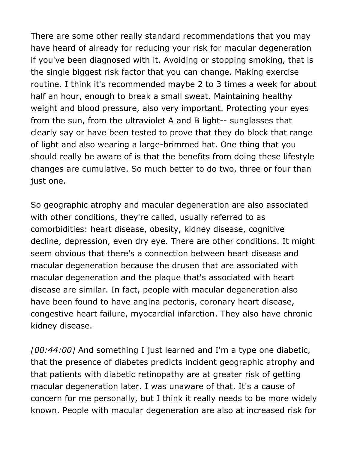There are some other really standard recommendations that you may have heard of already for reducing your risk for macular degeneration if you've been diagnosed with it. Avoiding or stopping smoking, that is the single biggest risk factor that you can change. Making exercise routine. I think it's recommended maybe 2 to 3 times a week for about half an hour, enough to break a small sweat. Maintaining healthy weight and blood pressure, also very important. Protecting your eyes from the sun, from the ultraviolet A and B light-- sunglasses that clearly say or have been tested to prove that they do block that range of light and also wearing a large-brimmed hat. One thing that you should really be aware of is that the benefits from doing these lifestyle changes are cumulative. So much better to do two, three or four than just one.

So geographic atrophy and macular degeneration are also associated with other conditions, they're called, usually referred to as comorbidities: heart disease, obesity, kidney disease, cognitive decline, depression, even dry eye. There are other conditions. It might seem obvious that there's a connection between heart disease and macular degeneration because the drusen that are associated with macular degeneration and the plaque that's associated with heart disease are similar. In fact, people with macular degeneration also have been found to have angina pectoris, coronary heart disease, congestive heart failure, myocardial infarction. They also have chronic kidney disease.

*[00:44:00]* And something I just learned and I'm a type one diabetic, that the presence of diabetes predicts incident geographic atrophy and that patients with diabetic retinopathy are at greater risk of getting macular degeneration later. I was unaware of that. It's a cause of concern for me personally, but I think it really needs to be more widely known. People with macular degeneration are also at increased risk for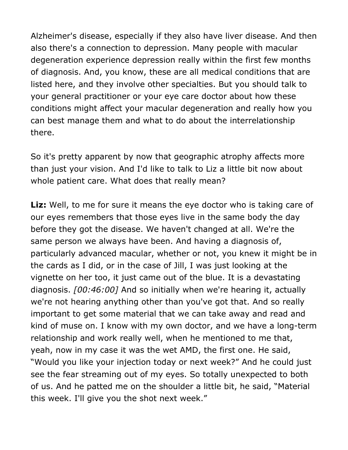Alzheimer's disease, especially if they also have liver disease. And then also there's a connection to depression. Many people with macular degeneration experience depression really within the first few months of diagnosis. And, you know, these are all medical conditions that are listed here, and they involve other specialties. But you should talk to your general practitioner or your eye care doctor about how these conditions might affect your macular degeneration and really how you can best manage them and what to do about the interrelationship there.

So it's pretty apparent by now that geographic atrophy affects more than just your vision. And I'd like to talk to Liz a little bit now about whole patient care. What does that really mean?

**Liz:** Well, to me for sure it means the eye doctor who is taking care of our eyes remembers that those eyes live in the same body the day before they got the disease. We haven't changed at all. We're the same person we always have been. And having a diagnosis of, particularly advanced macular, whether or not, you knew it might be in the cards as I did, or in the case of Jill, I was just looking at the vignette on her too, it just came out of the blue. It is a devastating diagnosis. *[00:46:00]* And so initially when we're hearing it, actually we're not hearing anything other than you've got that. And so really important to get some material that we can take away and read and kind of muse on. I know with my own doctor, and we have a long-term relationship and work really well, when he mentioned to me that, yeah, now in my case it was the wet AMD, the first one. He said, "Would you like your injection today or next week?" And he could just see the fear streaming out of my eyes. So totally unexpected to both of us. And he patted me on the shoulder a little bit, he said, "Material this week. I'll give you the shot next week."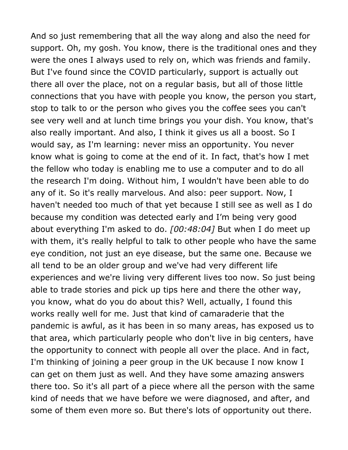And so just remembering that all the way along and also the need for support. Oh, my gosh. You know, there is the traditional ones and they were the ones I always used to rely on, which was friends and family. But I've found since the COVID particularly, support is actually out there all over the place, not on a regular basis, but all of those little connections that you have with people you know, the person you start, stop to talk to or the person who gives you the coffee sees you can't see very well and at lunch time brings you your dish. You know, that's also really important. And also, I think it gives us all a boost. So I would say, as I'm learning: never miss an opportunity. You never know what is going to come at the end of it. In fact, that's how I met the fellow who today is enabling me to use a computer and to do all the research I'm doing. Without him, I wouldn't have been able to do any of it. So it's really marvelous. And also: peer support. Now, I haven't needed too much of that yet because I still see as well as I do because my condition was detected early and I'm being very good about everything I'm asked to do. *[00:48:04]* But when I do meet up with them, it's really helpful to talk to other people who have the same eye condition, not just an eye disease, but the same one. Because we all tend to be an older group and we've had very different life experiences and we're living very different lives too now. So just being able to trade stories and pick up tips here and there the other way, you know, what do you do about this? Well, actually, I found this works really well for me. Just that kind of camaraderie that the pandemic is awful, as it has been in so many areas, has exposed us to that area, which particularly people who don't live in big centers, have the opportunity to connect with people all over the place. And in fact, I'm thinking of joining a peer group in the UK because I now know I can get on them just as well. And they have some amazing answers there too. So it's all part of a piece where all the person with the same kind of needs that we have before we were diagnosed, and after, and some of them even more so. But there's lots of opportunity out there.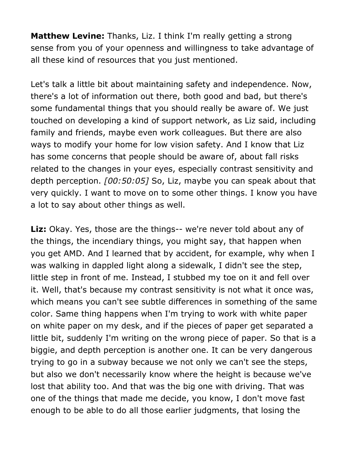**Matthew Levine:** Thanks, Liz. I think I'm really getting a strong sense from you of your openness and willingness to take advantage of all these kind of resources that you just mentioned.

Let's talk a little bit about maintaining safety and independence. Now, there's a lot of information out there, both good and bad, but there's some fundamental things that you should really be aware of. We just touched on developing a kind of support network, as Liz said, including family and friends, maybe even work colleagues. But there are also ways to modify your home for low vision safety. And I know that Liz has some concerns that people should be aware of, about fall risks related to the changes in your eyes, especially contrast sensitivity and depth perception. *[00:50:05]* So, Liz, maybe you can speak about that very quickly. I want to move on to some other things. I know you have a lot to say about other things as well.

Liz: Okay. Yes, those are the things-- we're never told about any of the things, the incendiary things, you might say, that happen when you get AMD. And I learned that by accident, for example, why when I was walking in dappled light along a sidewalk, I didn't see the step, little step in front of me. Instead, I stubbed my toe on it and fell over it. Well, that's because my contrast sensitivity is not what it once was, which means you can't see subtle differences in something of the same color. Same thing happens when I'm trying to work with white paper on white paper on my desk, and if the pieces of paper get separated a little bit, suddenly I'm writing on the wrong piece of paper. So that is a biggie, and depth perception is another one. It can be very dangerous trying to go in a subway because we not only we can't see the steps, but also we don't necessarily know where the height is because we've lost that ability too. And that was the big one with driving. That was one of the things that made me decide, you know, I don't move fast enough to be able to do all those earlier judgments, that losing the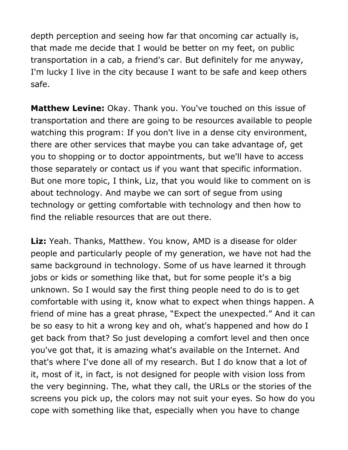depth perception and seeing how far that oncoming car actually is, that made me decide that I would be better on my feet, on public transportation in a cab, a friend's car. But definitely for me anyway, I'm lucky I live in the city because I want to be safe and keep others safe.

**Matthew Levine:** Okay. Thank you. You've touched on this issue of transportation and there are going to be resources available to people watching this program: If you don't live in a dense city environment, there are other services that maybe you can take advantage of, get you to shopping or to doctor appointments, but we'll have to access those separately or contact us if you want that specific information. But one more topic, I think, Liz, that you would like to comment on is about technology. And maybe we can sort of segue from using technology or getting comfortable with technology and then how to find the reliable resources that are out there.

**Liz:** Yeah. Thanks, Matthew. You know, AMD is a disease for older people and particularly people of my generation, we have not had the same background in technology. Some of us have learned it through jobs or kids or something like that, but for some people it's a big unknown. So I would say the first thing people need to do is to get comfortable with using it, know what to expect when things happen. A friend of mine has a great phrase, "Expect the unexpected." And it can be so easy to hit a wrong key and oh, what's happened and how do I get back from that? So just developing a comfort level and then once you've got that, it is amazing what's available on the Internet. And that's where I've done all of my research. But I do know that a lot of it, most of it, in fact, is not designed for people with vision loss from the very beginning. The, what they call, the URLs or the stories of the screens you pick up, the colors may not suit your eyes. So how do you cope with something like that, especially when you have to change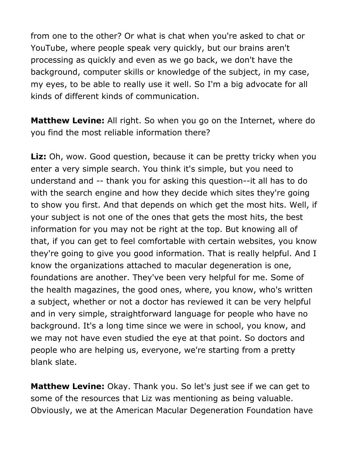from one to the other? Or what is chat when you're asked to chat or YouTube, where people speak very quickly, but our brains aren't processing as quickly and even as we go back, we don't have the background, computer skills or knowledge of the subject, in my case, my eyes, to be able to really use it well. So I'm a big advocate for all kinds of different kinds of communication.

**Matthew Levine:** All right. So when you go on the Internet, where do you find the most reliable information there?

Liz: Oh, wow. Good question, because it can be pretty tricky when you enter a very simple search. You think it's simple, but you need to understand and -- thank you for asking this question--it all has to do with the search engine and how they decide which sites they're going to show you first. And that depends on which get the most hits. Well, if your subject is not one of the ones that gets the most hits, the best information for you may not be right at the top. But knowing all of that, if you can get to feel comfortable with certain websites, you know they're going to give you good information. That is really helpful. And I know the organizations attached to macular degeneration is one, foundations are another. They've been very helpful for me. Some of the health magazines, the good ones, where, you know, who's written a subject, whether or not a doctor has reviewed it can be very helpful and in very simple, straightforward language for people who have no background. It's a long time since we were in school, you know, and we may not have even studied the eye at that point. So doctors and people who are helping us, everyone, we're starting from a pretty blank slate.

**Matthew Levine:** Okay. Thank you. So let's just see if we can get to some of the resources that Liz was mentioning as being valuable. Obviously, we at the American Macular Degeneration Foundation have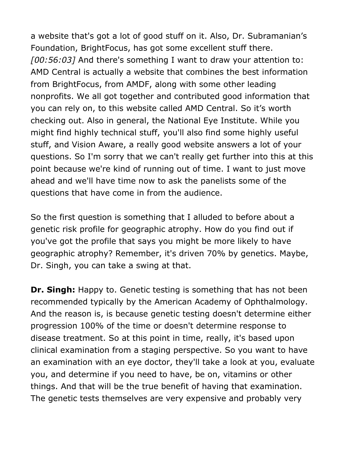a website that's got a lot of good stuff on it. Also, Dr. Subramanian's Foundation, BrightFocus, has got some excellent stuff there. *[00:56:03]* And there's something I want to draw your attention to: AMD Central is actually a website that combines the best information from BrightFocus, from AMDF, along with some other leading nonprofits. We all got together and contributed good information that you can rely on, to this website called AMD Central. So it's worth checking out. Also in general, the National Eye Institute. While you might find highly technical stuff, you'll also find some highly useful stuff, and Vision Aware, a really good website answers a lot of your questions. So I'm sorry that we can't really get further into this at this point because we're kind of running out of time. I want to just move ahead and we'll have time now to ask the panelists some of the questions that have come in from the audience.

So the first question is something that I alluded to before about a genetic risk profile for geographic atrophy. How do you find out if you've got the profile that says you might be more likely to have geographic atrophy? Remember, it's driven 70% by genetics. Maybe, Dr. Singh, you can take a swing at that.

**Dr. Singh:** Happy to. Genetic testing is something that has not been recommended typically by the American Academy of Ophthalmology. And the reason is, is because genetic testing doesn't determine either progression 100% of the time or doesn't determine response to disease treatment. So at this point in time, really, it's based upon clinical examination from a staging perspective. So you want to have an examination with an eye doctor, they'll take a look at you, evaluate you, and determine if you need to have, be on, vitamins or other things. And that will be the true benefit of having that examination. The genetic tests themselves are very expensive and probably very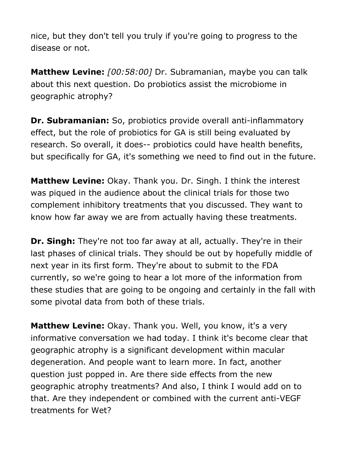nice, but they don't tell you truly if you're going to progress to the disease or not.

**Matthew Levine:** *[00:58:00]* Dr. Subramanian, maybe you can talk about this next question. Do probiotics assist the microbiome in geographic atrophy?

**Dr. Subramanian:** So, probiotics provide overall anti-inflammatory effect, but the role of probiotics for GA is still being evaluated by research. So overall, it does-- probiotics could have health benefits, but specifically for GA, it's something we need to find out in the future.

**Matthew Levine:** Okay. Thank you. Dr. Singh. I think the interest was piqued in the audience about the clinical trials for those two complement inhibitory treatments that you discussed. They want to know how far away we are from actually having these treatments.

**Dr. Singh:** They're not too far away at all, actually. They're in their last phases of clinical trials. They should be out by hopefully middle of next year in its first form. They're about to submit to the FDA currently, so we're going to hear a lot more of the information from these studies that are going to be ongoing and certainly in the fall with some pivotal data from both of these trials.

**Matthew Levine:** Okay. Thank you. Well, you know, it's a very informative conversation we had today. I think it's become clear that geographic atrophy is a significant development within macular degeneration. And people want to learn more. In fact, another question just popped in. Are there side effects from the new geographic atrophy treatments? And also, I think I would add on to that. Are they independent or combined with the current anti-VEGF treatments for Wet?